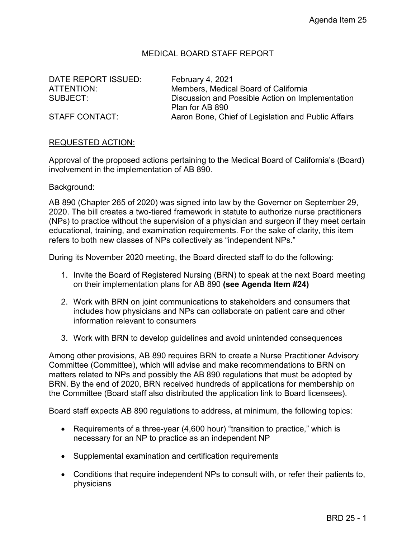## MEDICAL BOARD STAFF REPORT

DATE REPORT ISSUED: February 4, 2021

ATTENTION: Members, Medical Board of California SUBJECT: Discussion and Possible Action on Implementation Plan for AB 890 STAFF CONTACT: Aaron Bone, Chief of Legislation and Public Affairs

# REQUESTED ACTION:

Approval of the proposed actions pertaining to the Medical Board of California's (Board) involvement in the implementation of AB 890.

#### Background:

AB 890 (Chapter 265 of 2020) was signed into law by the Governor on September 29, 2020. The bill creates a two-tiered framework in statute to authorize nurse practitioners (NPs) to practice without the supervision of a physician and surgeon if they meet certain educational, training, and examination requirements. For the sake of clarity, this item refers to both new classes of NPs collectively as "independent NPs."

During its November 2020 meeting, the Board directed staff to do the following:

- 1. Invite the Board of Registered Nursing (BRN) to speak at the next Board meeting on their implementation plans for AB 890 **(see Agenda Item #24)**
- 2. Work with BRN on joint communications to stakeholders and consumers that includes how physicians and NPs can collaborate on patient care and other information relevant to consumers
- 3. Work with BRN to develop guidelines and avoid unintended consequences

Among other provisions, AB 890 requires BRN to create a Nurse Practitioner Advisory Committee (Committee), which will advise and make recommendations to BRN on matters related to NPs and possibly the AB 890 regulations that must be adopted by BRN. By the end of 2020, BRN received hundreds of applications for membership on the Committee (Board staff also distributed the application link to Board licensees).

Board staff expects AB 890 regulations to address, at minimum, the following topics:

- Requirements of a three-year (4,600 hour) "transition to practice," which is necessary for an NP to practice as an independent NP
- Supplemental examination and certification requirements
- Conditions that require independent NPs to consult with, or refer their patients to, physicians